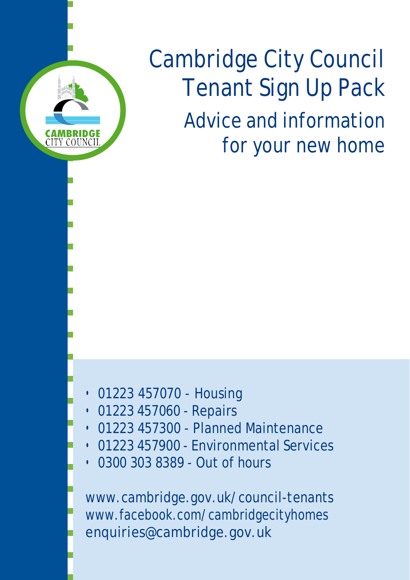

# Cambridge City Council Tenant Sign Up Pack Advice and information for your new home

- 01223 457070 Housing
- 01223 457060 Repairs
- 01223 457300 Planned Maintenance
- 01223 457900 Environmental Services
- 0300 303 8389 Out of hours

[www.cambridge.gov.uk/council-tenants](http://www.cambridge.gov.uk/council-tenants) [www.facebook.com/cambridgecityhomes](http://www.facebook.com/cambridgecityhomes) [enquiries@cambridge.gov.uk](mailto:enquiries@cambridge.gov.uk)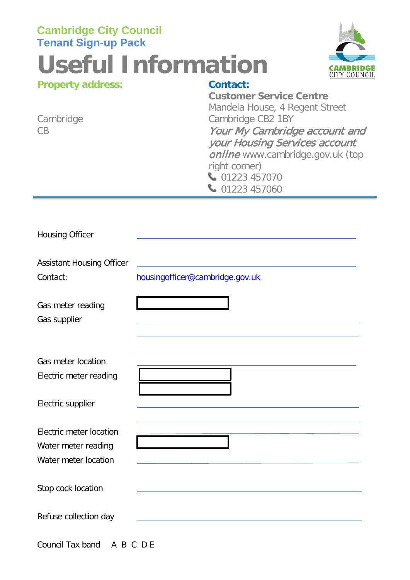# **Cambridge City Council Tenant Sign-up Pack Useful Information Property address: Contact:**



| <b>Property audit ess.</b> | GUHLAGL.                         |
|----------------------------|----------------------------------|
|                            | <b>Customer Service Centre</b>   |
|                            | Mandela House, 4 Regent Street   |
| Cambridge                  | Cambridge CB2 1BY                |
| CB                         | Your My Cambridge account and    |
|                            | your Housing Services account    |
|                            | online www.cambridge.gov.uk (top |
|                            | right corner)                    |
|                            | 01223 457070                     |
|                            | 01223 457060                     |
|                            |                                  |

| <b>Housing Officer</b>                                                 |                                                                              |
|------------------------------------------------------------------------|------------------------------------------------------------------------------|
| <b>Assistant Housing Officer</b><br>Contact:                           | <u> 1989 - Andrea Aontaithe ann an t-</u><br>housingofficer@cambridge.gov.uk |
| Gas meter reading<br>Gas supplier                                      |                                                                              |
| <b>Gas meter location</b><br>Electric meter reading                    |                                                                              |
| Electric supplier                                                      |                                                                              |
| Electric meter location<br>Water meter reading<br>Water meter location |                                                                              |
| Stop cock location                                                     |                                                                              |
| Refuse collection day                                                  |                                                                              |

Council Tax band A B C D E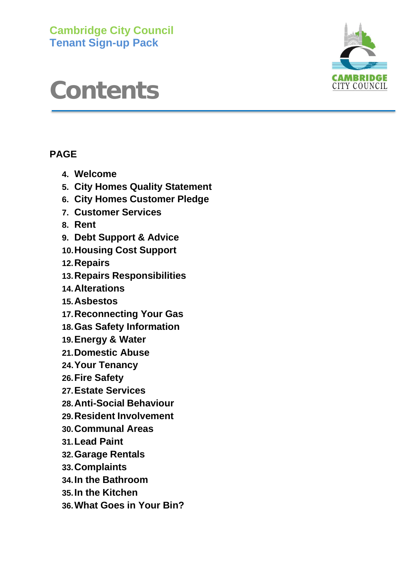**Cambridge City Council Tenant Sign-up Pack**

# **Contents**

## **PAGE**

- **4. Welcome**
- **5. City Homes Quality Statement**
- **6. City Homes Customer Pledge**
- **7. Customer Services**
- **8. Rent**
- **9. Debt Support & Advice**
- **10.Housing Cost Support**
- **12.Repairs**
- **13.Repairs Responsibilities**
- **14.Alterations**
- **15.Asbestos**
- **17.Reconnecting Your Gas**
- **18.Gas Safety Information**
- **19.Energy & Water**
- **21.Domestic Abuse**
- **24.Your Tenancy**
- **26.Fire Safety**
- **27.Estate Services**
- **28.Anti-Social Behaviour**
- **29.Resident Involvement**
- **30.Communal Areas**
- **31.Lead Paint**
- **32.Garage Rentals**
- **33.Complaints**
- **34.In the Bathroom**
- **35.In the Kitchen**
- **36.What Goes in Your Bin?**

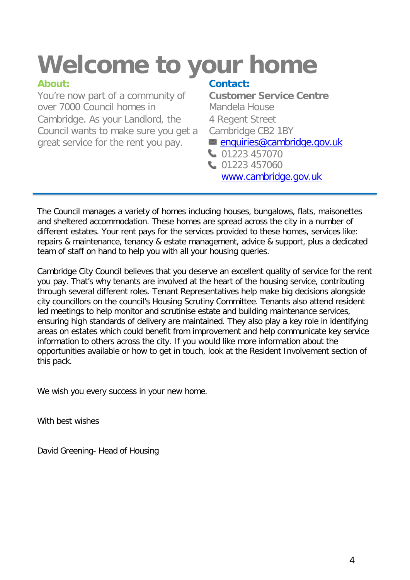# **Welcome to your home**

You're now part of a community of over 7000 Council homes in Cambridge. As your Landlord, the Council wants to make sure you get a great service for the rent you pay.

## **About: Contact:**

**Customer Service Centre** Mandela House 4 Regent Street Cambridge CB2 1BY  $\Box$  [enquiries@cambridge.gov.uk](mailto:enquiries@cambridge.gov.uk)

01223 457070 01223 457060

[www.cambridge.gov.uk](http://www.cambridge.gov.uk/)

The Council manages a variety of homes including houses, bungalows, flats, maisonettes and sheltered accommodation. These homes are spread across the city in a number of different estates. Your rent pays for the services provided to these homes, services like: repairs & maintenance, tenancy & estate management, advice & support, plus a dedicated team of staff on hand to help you with all your housing queries.

Cambridge City Council believes that you deserve an excellent quality of service for the rent you pay. That's why tenants are involved at the heart of the housing service, contributing through several different roles. Tenant Representatives help make big decisions alongside city councillors on the council's Housing Scrutiny Committee. Tenants also attend resident led meetings to help monitor and scrutinise estate and building maintenance services, ensuring high standards of delivery are maintained. They also play a key role in identifying areas on estates which could benefit from improvement and help communicate key service information to others across the city. If you would like more information about the opportunities available or how to get in touch, look at the Resident Involvement section of this pack.

We wish you every success in your new home.

With best wishes

David Greening- Head of Housing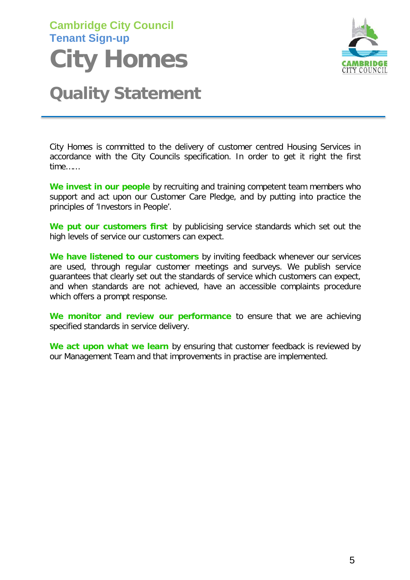# **Cambridge City Council Tenant Sign-up City Homes**



# **Quality Statement**

City Homes is committed to the delivery of customer centred Housing Services in accordance with the City Councils specification. In order to get it right the first time……

**We invest in our people** by recruiting and training competent team members who support and act upon our Customer Care Pledge, and by putting into practice the principles of 'Investors in People'.

**We put our customers first** by publicising service standards which set out the high levels of service our customers can expect.

**We have listened to our customers** by inviting feedback whenever our services are used, through regular customer meetings and surveys. We publish service guarantees that clearly set out the standards of service which customers can expect, and when standards are not achieved, have an accessible complaints procedure which offers a prompt response.

**We monitor and review our performance** to ensure that we are achieving specified standards in service delivery.

**We act upon what we learn** by ensuring that customer feedback is reviewed by our Management Team and that improvements in practise are implemented.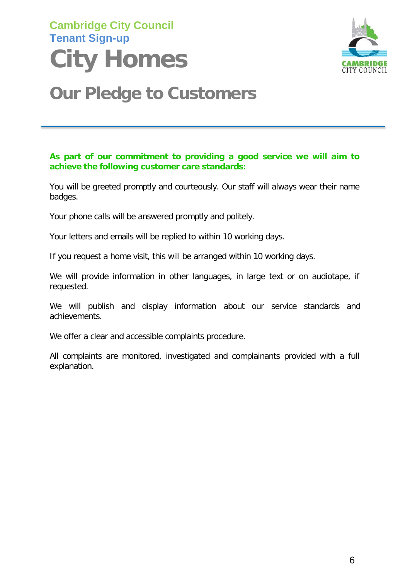# **Cambridge City Council Tenant Sign-up City Homes**



# **Our Pledge to Customers**

#### **As part of our commitment to providing a good service we will aim to achieve the following customer care standards:**

You will be greeted promptly and courteously. Our staff will always wear their name badges.

Your phone calls will be answered promptly and politely.

Your letters and emails will be replied to within 10 working days.

If you request a home visit, this will be arranged within 10 working days.

We will provide information in other languages, in large text or on audiotape, if requested.

We will publish and display information about our service standards and achievements.

We offer a clear and accessible complaints procedure.

All complaints are monitored, investigated and complainants provided with a full explanation.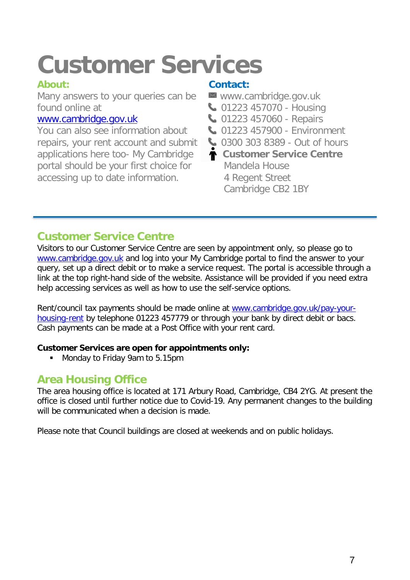# **Customer Services**

Many answers to your queries can be [www.cambridge.gov.uk](http://www.cambridge.gov.uk/)<br>found online at  $\bigcup_{n=0}^{\infty} 01223457070$  - Housing found online at <br> **1223 457070 - Housing**<br> **1223 457060 - Repairs** 

You can also see information about **01223 457900 - Environment** repairs, your rent account and submit applications here too- My Cambridge portal should be your first choice for Mandela House<br>accessing up to date information. 4 Regent Street accessing up to date information.

### **About: Contact:**

- 
- 
- **W** 01223 457060 Repairs
- 
- **0300 303 8389 Out of hours**
- **Customer Service Centre** Cambridge CB2 1BY

# **Customer Service Centre**

Visitors to our Customer Service Centre are seen by appointment only, so please go to [www.cambridge.gov.uk](http://www.cambridge.gov.uk/) and log into your My Cambridge portal to find the answer to your query, set up a direct debit or to make a service request. The portal is accessible through a link at the top right-hand side of the website. Assistance will be provided if you need extra help accessing services as well as how to use the self-service options.

Rent/council tax payments should be made online at [www.cambridge.gov.uk/pay-your](http://www.cambridge.gov.uk/pay-your-housing-rent)[housing-rent](http://www.cambridge.gov.uk/pay-your-housing-rent) by telephone 01223 457779 or through your bank by direct debit or bacs. Cash payments can be made at a Post Office with your rent card.

#### **Customer Services are open for appointments only:**

**Monday to Friday 9am to 5.15pm** 

## **Area Housing Office**

The area housing office is located at 171 Arbury Road, Cambridge, CB4 2YG. At present the office is closed until further notice due to Covid-19. Any permanent changes to the building will be communicated when a decision is made.

Please note that Council buildings are closed at weekends and on public holidays.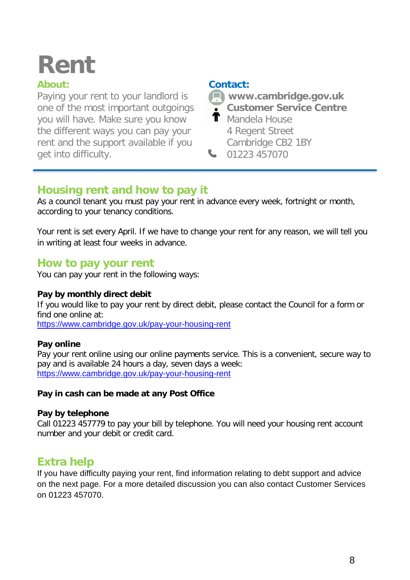# **Rent**

### **About:**

Paying your rent to your landlord is one of the most important outgoings you will have. Make sure you know the different ways you can pay your rent and the support available if you get into difficulty.

#### **Contact:**

**[www.cambridge.gov.uk](http://www.cambridge.gov.uk/)**

- **Customer Service Centre**
- $\textsf{T}$  Mandela House 4 Regent Street Cambridge CB2 1BY 01223 457070

## **Housing rent and how to pay it**

As a council tenant you must pay your rent in advance every week, fortnight or month, according to your tenancy conditions.

Your rent is set every April. If we have to change your rent for any reason, we will tell you in writing at least four weeks in advance.

### **How to pay your rent**

You can pay your rent in the following ways:

#### **Pay by monthly direct debit**

If you would like to pay your rent by direct debit, please contact the Council for a form or find one online at:

<https://www.cambridge.gov.uk/pay-your-housing-rent>

#### **Pay online**

Pay your rent online using our online payments service. This is a convenient, secure way to pay and is available 24 hours a day, seven days a week: <https://www.cambridge.gov.uk/pay-your-housing-rent>

#### **Pay in cash can be made at any Post Office**

#### **Pay by telephone**

Call 01223 457779 to pay your bill by telephone. You will need your housing rent account number and your debit or credit card.

## **Extra help**

If you have difficulty paying your rent, find information relating to debt support and advice on the next page. For a more detailed discussion you can also contact Customer Services on 01223 457070.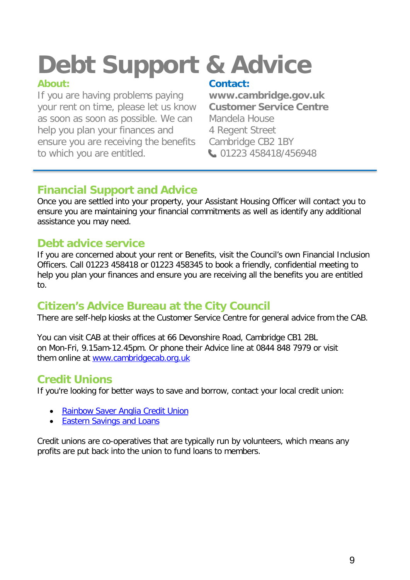# **Debt Support & Advice**

If you are having problems paying **[www.cambridge.gov.uk](http://www.cambridge.gov.uk/)** your rent on time, please let us know as soon as soon as possible. We can Mandela House help you plan your finances and 4 Regent Street ensure you are receiving the benefits Cambridge CB2 1BY to which you are entitled. 01223 458418/456948

**Contact:**<br>www.cambridge.gov.uk

# **Financial Support and Advice**

Once you are settled into your property, your Assistant Housing Officer will contact you to ensure you are maintaining your financial commitments as well as identify any additional assistance you may need.

# **Debt advice service**

If you are concerned about your rent or Benefits, visit the Council's own Financial Inclusion Officers. Call 01223 458418 or 01223 458345 to book a friendly, confidential meeting to help you plan your finances and ensure you are receiving all the benefits you are entitled to.

# **Citizen's Advice Bureau at the City Council**

There are self-help kiosks at the Customer Service Centre for general advice from the CAB.

You can visit CAB at their offices at 66 Devonshire Road, Cambridge CB1 2BL on Mon-Fri, 9.15am-12.45pm. Or phone their Advice line at 0844 848 7979 or visit them online at [www.cambridgecab.org.uk](http://www.cambridgecab.org.uk/)

# **Credit Unions**

If you're looking for better ways to save and borrow, contact your local credit union:

- Rainbow Saver [Anglia Credit](http://rainbowsaver.co.uk/) Union
- Eastern [Savings](http://www.eslcu.co.uk/) and Loans

Credit unions are co-operatives that are typically run by volunteers, which means any profits are put back into the union to fund loans to members.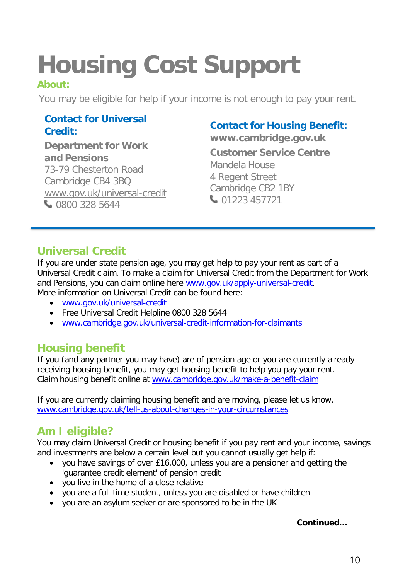# **Housing Cost Support**

### **About:**

You may be eligible for help if your income is not enough to pay your rent.

# Contact for Universal<br>Credit: Credit: Credit: Universal<br>Department for Work Customer Service Centre

**and Pensions** 73-79 Chesterton Road Cambridge CB4 3BQ [www.gov.uk/universal-credit](http://www.gov.uk/universal-credit) 0800 328 5644

01223 457721 Cambridge CB2 1BY 4 Regent Street Mandela House

# **Universal Credit**

If you are under state pension age, you may get help to pay your rent as part of a Universal Credit claim. To make a claim for Universal Credit from the Department for Work and Pensions, you can claim online here [www.gov.uk/apply-universal-credit.](http://www.gov.uk/apply-universal-credit) More information on Universal Credit can be found here:

- [www.gov.uk/universal-credit](http://www.gov.uk/universal-credit)
- Free Universal Credit Helpline 0800 328 5644
- [www.cambridge.gov.uk/universal-credit-information-for-claimants](http://www.cambridge.gov.uk/universal-credit-information-for-claimants)

## **Housing benefit**

If you (and any partner you may have) are of pension age or you are currently already receiving housing benefit, you may get housing benefit to help you pay your rent. Claim housing benefit online at [www.cambridge.gov.uk/make-a-benefit-claim](http://www.cambridge.gov.uk/make-a-benefit-claim)

If you are currently claiming housing benefit and are moving, please let us know. [www.cambridge.gov.uk/tell-us-about-changes-in-your-circumstances](http://www.cambridge.gov.uk/tell-us-about-changes-in-your-circumstances)

# **Am I eligible?**

You may claim Universal Credit or housing benefit if you pay rent and your income, savings and investments are below a certain level but you cannot usually get help if:

- you have savings of over £16,000, unless you are a pensioner and getting the 'guarantee credit element' of pension credit
- you live in the home of a close relative
- you are a full-time student, unless you are disabled or have children
- you are an asylum seeker or are sponsored to be in the UK

#### **Continued…**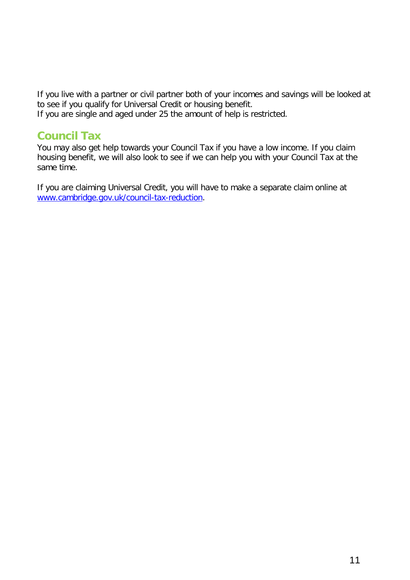If you live with a partner or civil partner both of your incomes and savings will be looked at to see if you qualify for Universal Credit or housing benefit. If you are single and aged under 25 the amount of help is restricted.

### **Council Tax**

You may also get help towards your Council Tax if you have a low income. If you claim housing benefit, we will also look to see if we can help you with your Council Tax at the same time.

If you are claiming Universal Credit, you will have to make a separate claim online at [www.cambridge.gov.uk/council-tax-reduction.](http://www.cambridge.gov.uk/council-tax-reduction)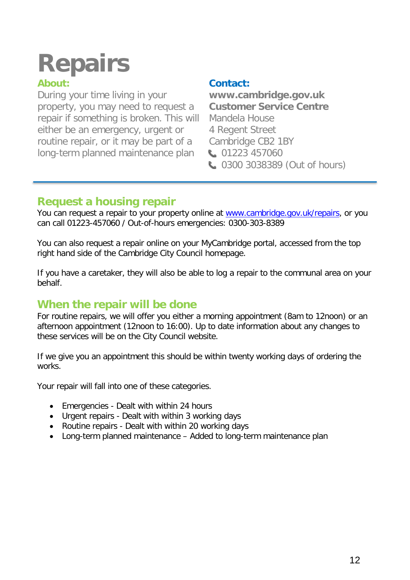# **Repairs**

During your time living in your **[www.cambridge.gov.uk](http://www.cambridge.gov.uk/)**<br>property, you may need to request a **Customer Service Centre** property, you may need to request a **Customer Services Customer Services Customer Center** repair if something is broken. This will either be an emergency, urgent or 4 Regent Street routine repair, or it may be part of a Cambridge CB2 1BY long-term planned maintenance plan (01223 457060)

## **About: Contact:**

**0300 3038389 (Out of hours)** 

# **Request a housing repair**

You can request a repair to your property online at [www.cambridge.gov.uk/repairs,](http://www.cambridge.gov.uk/repairs) or you can call 01223-457060 / Out-of-hours emergencies: 0300-303-8389

You can also request a repair online on your MyCambridge portal, accessed from the top right hand side of the Cambridge City Council homepage.

If you have a caretaker, they will also be able to log a repair to the communal area on your behalf.

## **When the repair will be done**

For routine repairs, we will offer you either a morning appointment (8am to 12noon) or an afternoon appointment (12noon to 16:00). Up to date information about any changes to these services will be on the City Council website.

If we give you an appointment this should be within twenty working days of ordering the works.

Your repair will fall into one of these categories.

- Emergencies Dealt with within 24 hours
- Urgent repairs Dealt with within 3 working days
- Routine repairs Dealt with within 20 working days
- Long-term planned maintenance Added to long-term maintenance plan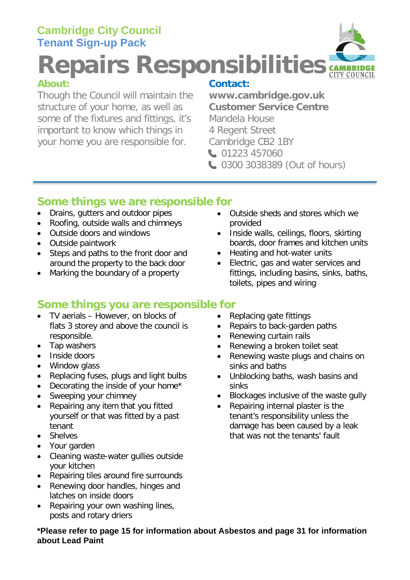# **Cambridge City Council Tenant Sign-up Pack**

**Repairs Responsibilities**

Though the Council will maintain the **[www.cambridge.gov.uk](http://www.cambridge.gov.uk/)** structure of your home, as well as **Customer Serv** some of the fixtures and fittings, it's Mandela House some of the fixtures and fittings, it's important to know which things in 4 Regent Street your home you are responsible for. Cambridge CB2 1BY

**Contact:**<br>www.cambridge.gov.uk

- 01223 457060
- **0300 3038389 (Out of hours)**

## **Some things we are responsible for**

- Drains, gutters and outdoor pipes
- Roofing, outside walls and chimneys
- Outside doors and windows
- Outside paintwork
- Steps and paths to the front door and around the property to the back door
- Marking the boundary of a property

## **Some things you are responsible for**

- TV aerials However, on blocks of flats 3 storey and above the council is responsible.
- Tap washers
- Inside doors
- Window glass
- Replacing fuses, plugs and light bulbs
- Decorating the inside of your home\*
- Sweeping your chimney
- Repairing any item that you fitted yourself or that was fitted by a past tenant
- Shelves
- Your garden
- Cleaning waste-water gullies outside your kitchen
- Repairing tiles around fire surrounds
- Renewing door handles, hinges and latches on inside doors
- Repairing your own washing lines, posts and rotary driers
- provided
- Inside walls, ceilings, floors, skirting boards, door frames and kitchen units
- Heating and hot-water units
- Electric, gas and water services and fittings, including basins, sinks, baths, toilets, pipes and wiring
- Replacing gate fittings
- Repairs to back-garden paths
- Renewing curtain rails
- Renewing a broken toilet seat
- Renewing waste plugs and chains on sinks and baths
- Unblocking baths, wash basins and sinks
- Blockages inclusive of the waste gully
- Repairing internal plaster is the tenant's responsibility unless the damage has been caused by a leak that was not the tenants' fault

#### **\*Please refer to page 15 for information about Asbestos and page 31 for information about Lead Paint**

• Outside sheds and stores which we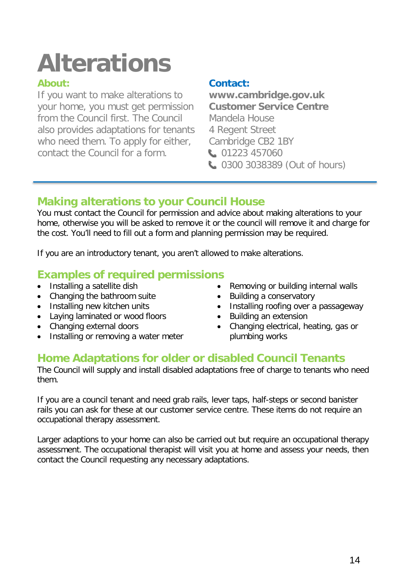# **Alterations**

If you want to make alterations to **[www.cambridge.gov.uk](http://www.cambridge.gov.uk/)** your home, you must get permission from the Council first. The Council Mandela House also provides adaptations for tenants 4 Regent Street who need them. To apply for either, Cambridge CB2 1BY contact the Council for a form. **1201223 457060** 

### **About: Contact:**

**0300 3038389 (Out of hours)** 

# **Making alterations to your Council House**

You must contact the Council for permission and advice about making alterations to your home, otherwise you will be asked to remove it or the council will remove it and charge for the cost. You'll need to fill out a form and planning permission may be required.

If you are an introductory tenant, you aren't allowed to make alterations.

# **Examples of required permissions**

- 
- Changing the bathroom suite Building a conservatory
- 
- Laying laminated or wood floors Building an extension
- 
- Installing or removing a water meter **plumbing works**
- Removing or building internal walls
- 
- Installing new kitchen units Installing roofing over a passageway<br>• Laying laminated or wood floors Building an extension
	-
	- Changing electrical, heating, gas or

## **Home Adaptations for older or disabled Council Tenants**

The Council will supply and install disabled adaptations free of charge to tenants who need them.

If you are a council tenant and need grab rails, lever taps, half-steps or second banister rails you can ask for these at our customer service centre. These items do not require an occupational therapy assessment.

Larger adaptions to your home can also be carried out but require an occupational therapy assessment. The occupational therapist will visit you at home and assess your needs, then contact the Council requesting any necessary adaptations.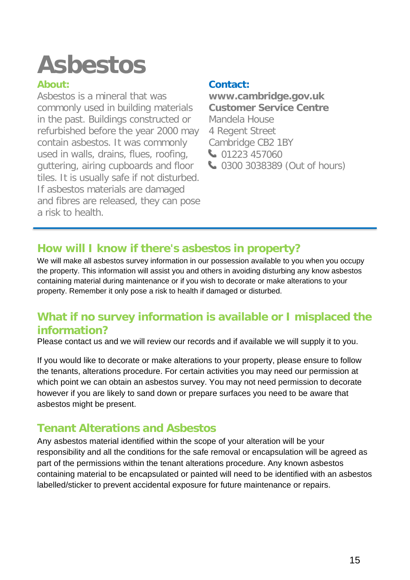# **Asbestos**

### **About:**

Asbestos is a mineral that was commonly used in building materials in the past. Buildings constructed or refurbished before the year 2000 may contain asbestos. It was commonly used in walls, drains, flues, roofing, guttering, airing cupboards and floor tiles. It is usually safe if not disturbed. If asbestos materials are damaged and fibres are released, they can pose a risk to health.

### **Contact:**

**[www.cambridge.gov.uk](http://www.cambridge.gov.uk/) Customer Service Centre** Mandela House 4 Regent Street Cambridge CB2 1BY 01223 457060 **4000 3038389 (Out of hours)** 

# **How will I know if there's asbestos in property?**

We will make all asbestos survey information in our possession available to you when you occupy the property. This information will assist you and others in avoiding disturbing any know asbestos containing material during maintenance or if you wish to decorate or make alterations to your property. Remember it only pose a risk to health if damaged or disturbed.

# **What if no survey information is available or I misplaced the information?**

Please contact us and we will review our records and if available we will supply it to you.

If you would like to decorate or make alterations to your property, please ensure to follow the tenants, alterations procedure. For certain activities you may need our permission at which point we can obtain an asbestos survey. You may not need permission to decorate however if you are likely to sand down or prepare surfaces you need to be aware that asbestos might be present.

# **Tenant Alterations and Asbestos**

Any asbestos material identified within the scope of your alteration will be your responsibility and all the conditions for the safe removal or encapsulation will be agreed as part of the permissions within the tenant alterations procedure. Any known asbestos containing material to be encapsulated or painted will need to be identified with an asbestos labelled/sticker to prevent accidental exposure for future maintenance or repairs.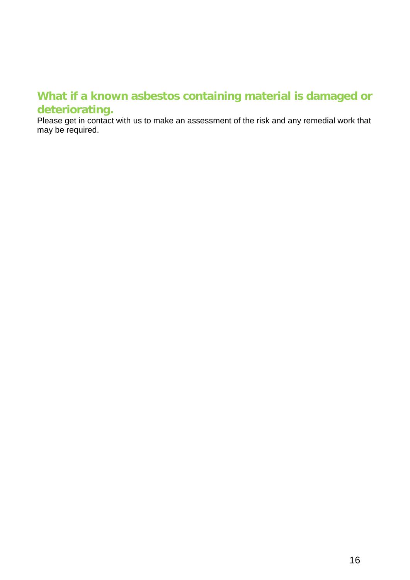## **What if a known asbestos containing material is damaged or deteriorating.**

Please get in contact with us to make an assessment of the risk and any remedial work that may be required.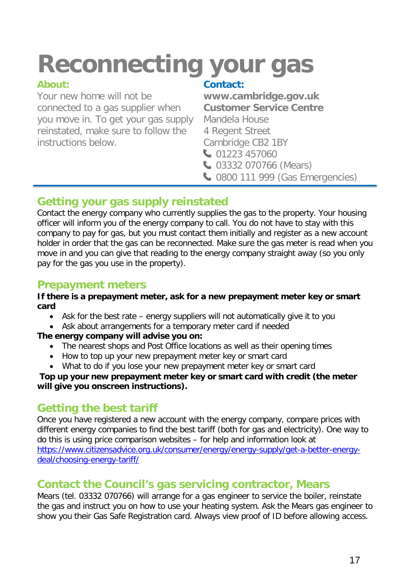# **Reconnecting your gas**

### **About:**

Your new home will not be connected to a gas supplier when you move in. To get your gas supply reinstated, make sure to follow the instructions below.

### **Contact:**

**[www.cambridge.gov.uk](http://www.cambridge.gov.uk/) Customer Service Centre** Mandela House 4 Regent Street Cambridge CB2 1BY 01223 457060

- **03332 070766 (Mears)**
- **C** 0800 111 999 (Gas Emergencies)

# **Getting your gas supply reinstated**

Contact the energy company who currently supplies the gas to the property. Your housing officer will inform you of the energy company to call. You do not have to stay with this company to pay for gas, but you must contact them initially and register as a new account holder in order that the gas can be reconnected. Make sure the gas meter is read when you move in and you can give that reading to the energy company straight away (so you only pay for the gas you use in the property).

# **Prepayment meters**

#### **If there is a prepayment meter, ask for a new prepayment meter key or smart card**

- Ask for the best rate energy suppliers will not automatically give it to you
- Ask about arrangements for a temporary meter card if needed

#### **The energy company will advise you on:**

- The nearest shops and Post Office locations as well as their opening times
- How to top up your new prepayment meter key or smart card
- What to do if you lose your new prepayment meter key or smart card

#### **Top up your new prepayment meter key or smart card with credit (the meter will give you onscreen instructions).**

# **Getting the best tariff**

Once you have registered a new account with the energy company, compare prices with different energy companies to find the best tariff (both for gas and electricity). One way to do this is using price comparison websites – for help and information look at [https://www.citizensadvice.org.uk/consumer/energy/energy-supply/get-a-better-energy](https://www.citizensadvice.org.uk/consumer/energy/energy-supply/get-a-better-energy-deal/choosing-energy-tariff/)[deal/choosing-energy-tariff/](https://www.citizensadvice.org.uk/consumer/energy/energy-supply/get-a-better-energy-deal/choosing-energy-tariff/)

## **Contact the Council's gas servicing contractor, Mears**

Mears (tel. 03332 070766) will arrange for a gas engineer to service the boiler, reinstate the gas and instruct you on how to use your heating system. Ask the Mears gas engineer to show you their Gas Safe Registration card. Always view proof of ID before allowing access.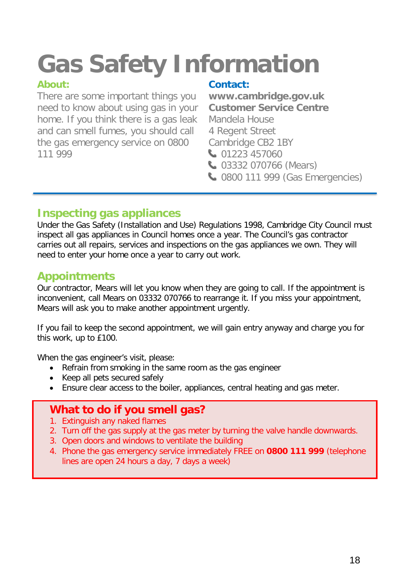# **Gas Safety Information**

### **About:**

There are some important things you need to know about using gas in your home. If you think there is a gas leak and can smell fumes, you should call the gas emergency service on 0800 111 999

### **Contact:**

**[www.cambridge.gov.uk](http://www.cambridge.gov.uk/) Customer Service Centre** Mandela House 4 Regent Street Cambridge CB2 1BY 01223 457060 **C** 03332 070766 (Mears)

**C** 0800 111 999 (Gas Emergencies)

## **Inspecting gas appliances**

Under the Gas Safety (Installation and Use) Regulations 1998, Cambridge City Council must inspect all gas appliances in Council homes once a year. The Council's gas contractor carries out all repairs, services and inspections on the gas appliances we own. They will need to enter your home once a year to carry out work.

# **Appointments**

Our contractor, Mears will let you know when they are going to call. If the appointment is inconvenient, call Mears on 03332 070766 to rearrange it. If you miss your appointment, Mears will ask you to make another appointment urgently.

If you fail to keep the second appointment, we will gain entry anyway and charge you for this work, up to £100.

When the gas engineer's visit, please:

- Refrain from smoking in the same room as the gas engineer
- Keep all pets secured safely
- Ensure clear access to the boiler, appliances, central heating and gas meter.

# **What to do if you smell gas?**

- 1. Extinguish any naked flames
- 2. Turn off the gas supply at the gas meter by turning the valve handle downwards.
- 3. Open doors and windows to ventilate the building
- 4. Phone the gas emergency service immediately FREE on **0800 111 999** (telephone lines are open 24 hours a day, 7 days a week)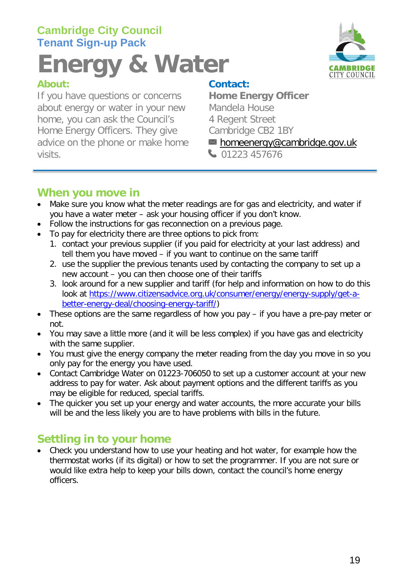# **Cambridge City Council Tenant Sign-up Pack**

# **Energy & Water**

If you have questions or concerns about energy or water in your new Mandela House home, you can ask the Council's 4 Regent Street<br>
Home Energy Officers. They give Cambridge CB2 1BY Home Energy Officers. They give advice on the phone or make home home home home home home and hidge.gov.uk visits. 01223 457676



**Contact:<br>Home Energy Officer** 

## **When you move in**

- Make sure you know what the meter readings are for gas and electricity, and water if you have a water meter – ask your housing officer if you don't know.
- Follow the instructions for gas reconnection on a previous page.
- To pay for electricity there are three options to pick from:
	- 1. contact your previous supplier (if you paid for electricity at your last address) and tell them you have moved – if you want to continue on the same tariff
	- 2. use the supplier the previous tenants used by contacting the company to set up a new account – you can then choose one of their tariffs
	- 3. look around for a new supplier and tariff (for help and information on how to do this look at [https://www.citizensadvice.org.uk/consumer/energy/energy-supply/get-a](https://www.citizensadvice.org.uk/consumer/energy/energy-supply/get-a-better-energy-deal/choosing-energy-tariff/)[better-energy-deal/choosing-energy-tariff/\)](https://www.citizensadvice.org.uk/consumer/energy/energy-supply/get-a-better-energy-deal/choosing-energy-tariff/)
- These options are the same regardless of how you pay if you have a pre-pay meter or not.
- You may save a little more (and it will be less complex) if you have gas and electricity with the same supplier.
- You must give the energy company the meter reading from the day you move in so you only pay for the energy you have used.
- Contact Cambridge Water on 01223-706050 to set up a customer account at your new address to pay for water. Ask about payment options and the different tariffs as you may be eligible for reduced, special tariffs.
- The quicker you set up your energy and water accounts, the more accurate your bills will be and the less likely you are to have problems with bills in the future.

# **Settling in to your home**

• Check you understand how to use your heating and hot water, for example how the thermostat works (if its digital) or how to set the programmer. If you are not sure or would like extra help to keep your bills down, contact the council's home energy officers.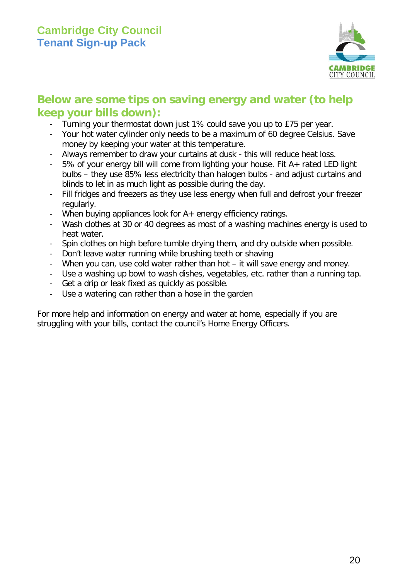

## **Below are some tips on saving energy and water (to help keep your bills down):**

- Turning your thermostat down just 1% could save you up to £75 per year.
- Your hot water cylinder only needs to be a maximum of 60 degree Celsius. Save money by keeping your water at this temperature.
- Always remember to draw your curtains at dusk this will reduce heat loss.
- 5% of your energy bill will come from lighting your house. Fit A+ rated LED light bulbs – they use 85% less electricity than halogen bulbs - and adjust curtains and blinds to let in as much light as possible during the day.
- Fill fridges and freezers as they use less energy when full and defrost your freezer regularly.
- When buying appliances look for A+ energy efficiency ratings.
- Wash clothes at 30 or 40 degrees as most of a washing machines energy is used to heat water.
- Spin clothes on high before tumble drying them, and dry outside when possible.
- Don't leave water running while brushing teeth or shaving
- When you can, use cold water rather than hot it will save energy and money.
- Use a washing up bowl to wash dishes, vegetables, etc. rather than a running tap.
- Get a drip or leak fixed as quickly as possible.
- Use a watering can rather than a hose in the garden

For more help and information on energy and water at home, especially if you are struggling with your bills, contact the council's Home Energy Officers.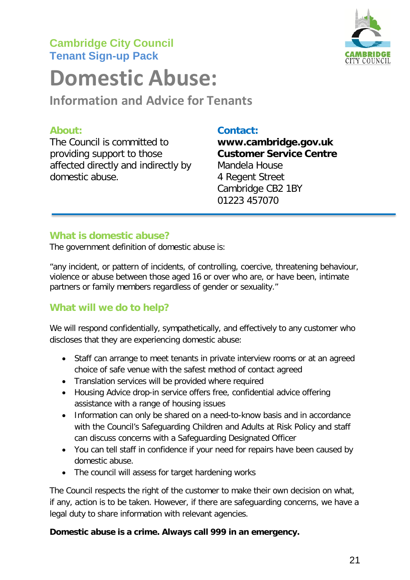# **Cambridge City Council Tenant Sign-up Pack**



# **Domestic Abuse:**

**Information and Advice for Tenants**

The Council is committed to **[www.cambridge.gov.uk](http://www.cambridge.gov.uk/)** providing support to those **Customer Service Centre** affected directly and indirectly by Mandela House domestic abuse. 4 Regent Street

#### **About: Contact:**

Cambridge CB2 1BY 01223 457070

### **What is domestic abuse?**

The government definition of domestic abuse is:

"any incident, or pattern of incidents, of controlling, coercive, threatening behaviour, violence or abuse between those aged 16 or over who are, or have been, intimate partners or family members regardless of gender or sexuality."

### **What will we do to help?**

We will respond confidentially, sympathetically, and effectively to any customer who discloses that they are experiencing domestic abuse:

- Staff can arrange to meet tenants in private interview rooms or at an agreed choice of safe venue with the safest method of contact agreed
- Translation services will be provided where required
- Housing Advice drop-in service offers free, confidential advice offering assistance with a range of housing issues
- Information can only be shared on a need-to-know basis and in accordance with the Council's Safeguarding Children and Adults at Risk Policy and staff can discuss concerns with a Safeguarding Designated Officer
- You can tell staff in confidence if your need for repairs have been caused by domestic abuse.
- The council will assess for target hardening works

The Council respects the right of the customer to make their own decision on what, if any, action is to be taken. However, if there are safeguarding concerns, we have a legal duty to share information with relevant agencies.

#### **Domestic abuse is a crime. Always call 999 in an emergency.**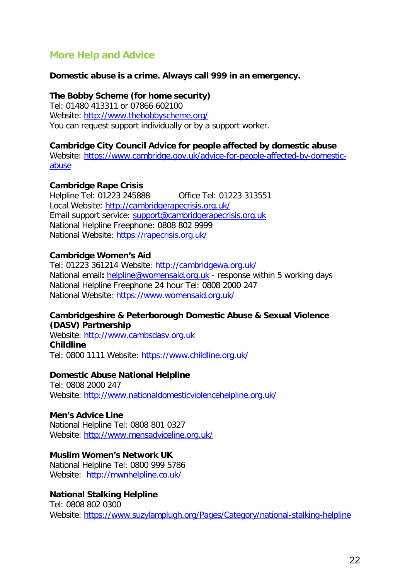### **More Help and Advice**

#### **Domestic abuse is a crime. Always call 999 in an emergency.**

#### **The Bobby Scheme (for home security)**

Tel: 01480 413311 or 07866 602100 Website: <http://www.thebobbyscheme.org/> You can request support individually or by a support worker.

#### **Cambridge City Council Advice for people affected by domestic abuse**

Website: [https://www.cambridge.gov.uk/advice-for-people-affected-by-domestic](https://www.cambridge.gov.uk/advice-for-people-affected-by-domestic-abuse)[abuse](https://www.cambridge.gov.uk/advice-for-people-affected-by-domestic-abuse)

#### **Cambridge Rape Crisis**

Helpline Tel: 01223 245888 Office Tel: 01223 313551 Local Website: <http://cambridgerapecrisis.org.uk/> Email support service: [support@cambridgerapecrisis.org.uk](mailto:support@cambridgerapecrisis.org.uk) National Helpline Freephone: 0808 802 9999 National Website: <https://rapecrisis.org.uk/>

#### **Cambridge Women's Aid**

Tel: 01223 361214 Website: <http://cambridgewa.org.uk/> National email**:** [helpline@womensaid.org.uk](mailto:helpline@womensaid.org.uk) - response within 5 working days National Helpline Freephone 24 hour Tel: 0808 2000 247 National Website: <https://www.womensaid.org.uk/>

#### **Cambridgeshire & Peterborough Domestic Abuse & Sexual Violence (DASV) Partnership**

Website: [http://www.cambsdasv.org.uk](http://www.cambsdasv.org.uk/) **Childline** Tel: 0800 1111 Website: <https://www.childline.org.uk/>

#### **Domestic Abuse National Helpline**

Tel: 0808 2000 247 Website: <http://www.nationaldomesticviolencehelpline.org.uk/>

#### **Men's Advice Line**

National Helpline Tel: 0808 801 0327 Website: <http://www.mensadviceline.org.uk/>

#### **Muslim Women's Network UK**

National Helpline Tel: 0800 999 5786 Website: <http://mwnhelpline.co.uk/>

#### **National Stalking Helpline**

Tel: 0808 802 0300 Website: <https://www.suzylamplugh.org/Pages/Category/national-stalking-helpline>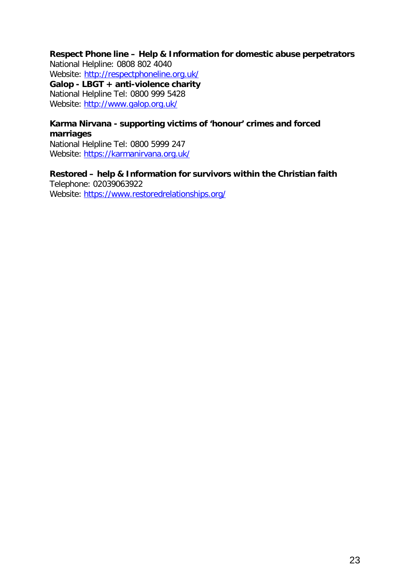#### **Respect Phone line – Help & Information for domestic abuse perpetrators**

National Helpline: 0808 802 4040 Website:<http://respectphoneline.org.uk/> **Galop - LBGT + anti-violence charity** National Helpline Tel: 0800 999 5428 Website: [http://www.galop.org.uk/](https://protect-eu.mimecast.com/s/huscCPjXH0GxR6CzygEm?domain=galop.org.uk)

#### **Karma Nirvana - supporting victims of 'honour' crimes and forced marriages**

National Helpline Tel: 0800 5999 247 Website: [https://karmanirvana.org.uk/](https://protect-eu.mimecast.com/s/PALKCQkZCXAWpRUPGd0z?domain=karmanirvana.org.uk)

#### **Restored – help & Information for survivors within the Christian faith** Telephone: 02039063922

Website: [https://www.restoredrelationships.org/](https://protect-eu.mimecast.com/s/usgyCRl2tGmL1OiPZZse?domain=restoredrelationships.org)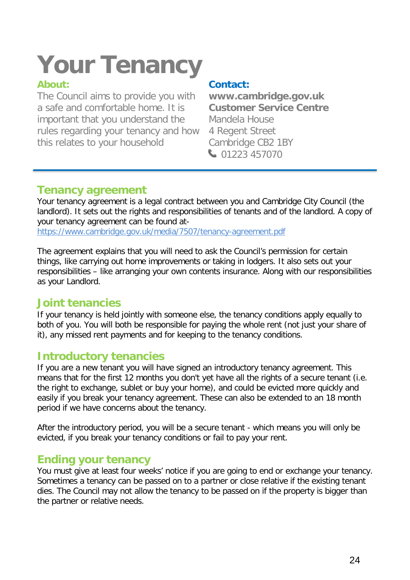# **Your Tenancy**

### **About:**

The Council aims to provide you with a safe and comfortable home. It is important that you understand the rules regarding your tenancy and how this relates to your household

### **Contact:**

**[www.cambridge.gov.uk](http://www.cambridge.gov.uk/) Customer Service Centre** Mandela House 4 Regent Street Cambridge CB2 1BY 01223 457070

## **Tenancy agreement**

Your [tenancy agreement i](https://www.cambridge.gov.uk/sites/default/files/docs/Tenancy%20agreement.pdf)s a legal contract between you and Cambridge City Council (the landlord). It sets out the rights and responsibilities of tenants and of the landlord. A copy of your tenancy agreement can be found at-

<https://www.cambridge.gov.uk/media/7507/tenancy-agreement.pdf>

The agreement explains that you will need to ask the Council's permission for certain things, like carrying out home improvements or taking in lodgers. It also sets out your responsibilities – like arranging your own contents insurance. Along with our responsibilities as your Landlord.

## **Joint tenancies**

If your tenancy is held jointly with someone else, the tenancy conditions apply equally to both of you. You will both be responsible for paying the whole rent (not just your share of it), any missed rent payments and for keeping to the tenancy conditions.

# **Introductory tenancies**

If you are a new tenant you will have signed an introductory tenancy agreement. This means that for the first 12 months you don't yet have all the rights of a secure tenant (i.e. the right to exchange, sublet or buy your home), and could be evicted more quickly and easily if you break your tenancy agreement. These can also be extended to an 18 month period if we have concerns about the tenancy.

After the introductory period, you will be a secure tenant - which means you will only be evicted, if you break your tenancy conditions or fail to pay your rent.

# **Ending your tenancy**

You must give at least four weeks' notice if you are going to end or exchange your tenancy. Sometimes a tenancy can be passed on to a partner or close relative if the existing tenant dies. The Council may not allow the tenancy to be passed on if the property is bigger than the partner or relative needs.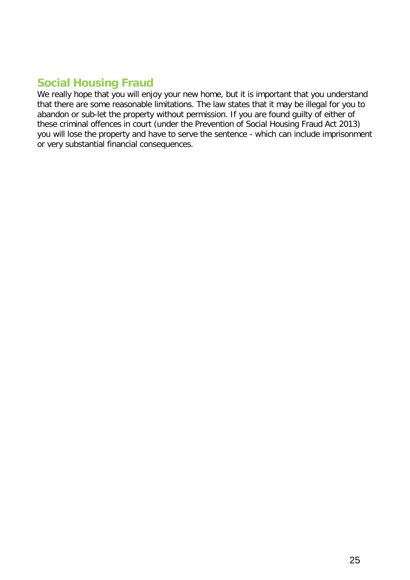# **Social Housing Fraud**

We really hope that you will enjoy your new home, but it is important that you understand that there are some reasonable limitations. The law states that it may be illegal for you to abandon or sub-let the property without permission. If you are found guilty of either of these criminal offences in court (under the Prevention of Social Housing Fraud Act 2013) you will lose the property and have to serve the sentence - which can include imprisonment or very substantial financial consequences.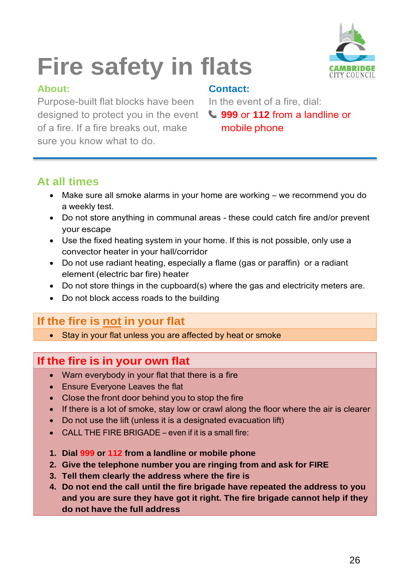

# **Fire safety in flats**

### **About: Contact:**

Purpose-built flat blocks have been In the event of a fire, dial: designed to protect you in the event **999** or **112** from a landline or of a fire. If a fire breaks out, make **mobile phone** sure you know what to do.

# **At all times**

- Make sure all smoke alarms in your home are working we recommend you do a weekly test.
- Do not store anything in communal areas these could catch fire and/or prevent your escape
- Use the fixed heating system in your home. If this is not possible, only use a convector heater in your hall/corridor
- Do not use radiant heating, especially a flame (gas or paraffin) or a radiant element (electric bar fire) heater
- Do not store things in the cupboard(s) where the gas and electricity meters are.
- Do not block access roads to the building

# **If the fire is not in your flat**

• Stay in your flat unless you are affected by heat or smoke

# **If the fire is in your own flat**

- Warn everybody in your flat that there is a fire
- Ensure Everyone Leaves the flat
- Close the front door behind you to stop the fire
- If there is a lot of smoke, stay low or crawl along the floor where the air is clearer
- Do not use the lift (unless it is a designated evacuation lift)
- CALL THE FIRE BRIGADE even if it is a small fire:
- **1. Dial 999 or 112 from a landline or mobile phone**
- **2. Give the telephone number you are ringing from and ask for FIRE**
- **3. Tell them clearly the address where the fire is**
- **4. Do not end the call until the fire brigade have repeated the address to you and you are sure they have got it right. The fire brigade cannot help if they do not have the full address**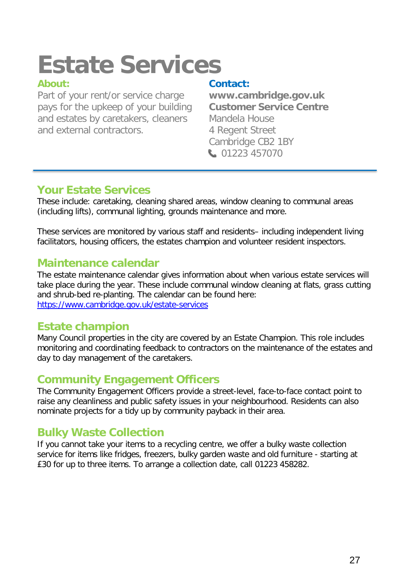# **Estate Services**

Part of your rent/or service charge **[www.cambridge.gov.uk](http://www.cambridge.gov.uk/)**<br>pays for the upkeep of your building **Customer Service Centre** pays for the upkeep of your building and estates by caretakers, cleaners Mandela House and external contractors. 4 Regent Street

**Contact:**<br>www.cambridge.gov.uk Cambridge CB2 1BY 01223 457070

## **Your Estate Services**

These include: caretaking, cleaning shared areas, window cleaning to communal areas (including lifts), communal lighting, grounds maintenance and more.

These services are monitored by various staff and residents– including independent living facilitators, housing officers, the estates champion and volunteer resident inspectors.

# **Maintenance calendar**

The estate maintenance calendar gives information about when various estate services will take place during the year. These include communal window cleaning at flats, grass cutting and shrub-bed re-planting. The calendar can be found here: <https://www.cambridge.gov.uk/estate-services>

## **Estate champion**

Many Council properties in the city are covered by an Estate Champion. This role includes monitoring and coordinating feedback to contractors on the maintenance of the estates and day to day management of the caretakers.

# **Community Engagement Officers**

The Community Engagement Officers provide a street-level, face-to-face contact point to raise any cleanliness and public safety issues in your neighbourhood. Residents can also nominate projects for a tidy up by community payback in their area.

# **Bulky Waste Collection**

If you cannot take your items to a recycling centre, we offer a bulky waste collection service for items like fridges, freezers, bulky garden waste and old furniture - starting at £30 for up to three items. To arrange a collection date, call 01223 458282.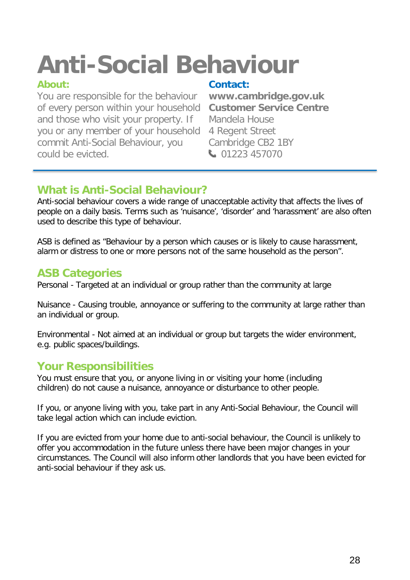# **Anti-Social Behaviour**

You are responsible for the behaviour **[www.cambridge.gov.uk](http://www.cambridge.gov.uk/)** of every person within your household and those who visit your property. If Mandela House you or any member of your household 4 Regent Street commit Anti-Social Behaviour, you Cambridge CB2 1BY could be evicted. 01223 457070

**Contact:**<br>www.cambridge.gov.uk

# **What is Anti-Social Behaviour?**

Anti-social behaviour covers a wide range of unacceptable activity that affects the lives of people on a daily basis. Terms such as 'nuisance', 'disorder' and 'harassment' are also often used to describe this type of behaviour.

ASB is defined as "Behaviour by a person which causes or is likely to cause harassment, alarm or distress to one or more persons not of the same household as the person".

# **ASB Categories**

Personal - Targeted at an individual or group rather than the community at large

Nuisance - Causing trouble, annoyance or suffering to the community at large rather than an individual or group.

Environmental - Not aimed at an individual or group but targets the wider environment, e.g. public spaces/buildings.

# **Your Responsibilities**

You must ensure that you, or anyone living in or visiting your home (including children) do not cause a nuisance, annoyance or disturbance to other people.

If you, or anyone living with you, take part in any Anti-Social Behaviour, the Council will take legal action which can include eviction.

If you are evicted from your home due to anti-social behaviour, the Council is unlikely to offer you accommodation in the future unless there have been major changes in your circumstances. The Council will also inform other landlords that you have been evicted for anti-social behaviour if they ask us.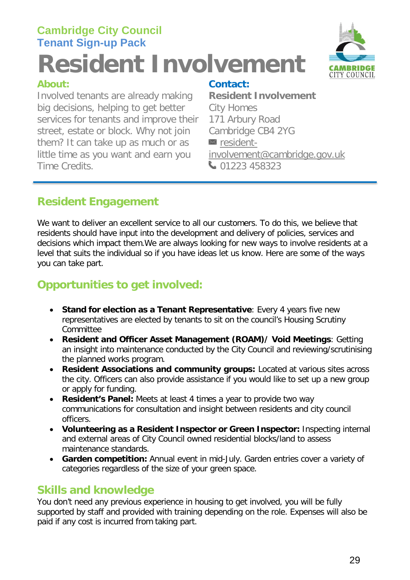# **Cambridge City Council Tenant Sign-up Pack Resident Involvement**



Involved tenants are already making **Resident Involvement** big decisions, helping to get better City Homes services for tenants and improve their 171 Arbury Road street, estate or block. Why not join Cambridge CB4 2YG them? It can take up as much or as  $\Box$  resident-<br>little time as you want and earn you involvement@cambridge.gov.uk little time as you want and earn you Time Credits. 201223 458323

### **About: Contact:**

# **Resident Engagement**

We want to deliver an excellent service to all our customers. To do this, we believe that residents should have input into the development and delivery of policies, services and decisions which impact them.We are always looking for new ways to involve residents at a level that suits the individual so if you have ideas let us know. Here are some of the ways you can take part.

# **Opportunities to get involved:**

- **Stand for election as a Tenant Representative**: Every 4 years five new representatives are elected by tenants to sit on the council's Housing Scrutiny Committee
- **Resident and Officer Asset Management (ROAM)/ Void Meetings**: Getting an insight into maintenance conducted by the City Council and reviewing/scrutinising the planned works program.
- **Resident Associations and community groups:** Located at various sites across the city. Officers can also provide assistance if you would like to set up a new group or apply for funding.
- **Resident's Panel:** Meets at least 4 times a year to provide two way communications for consultation and insight between residents and city council officers.
- **Volunteering as a Resident Inspector or Green Inspector:** Inspecting internal and external areas of City Council owned residential blocks/land to assess maintenance standards.
- **Garden competition:** Annual event in mid-July. Garden entries cover a variety of categories regardless of the size of your green space.

## **Skills and knowledge**

You don't need any previous experience in housing to get involved, you will be fully supported by staff and provided with training depending on the role. Expenses will also be paid if any cost is incurred from taking part.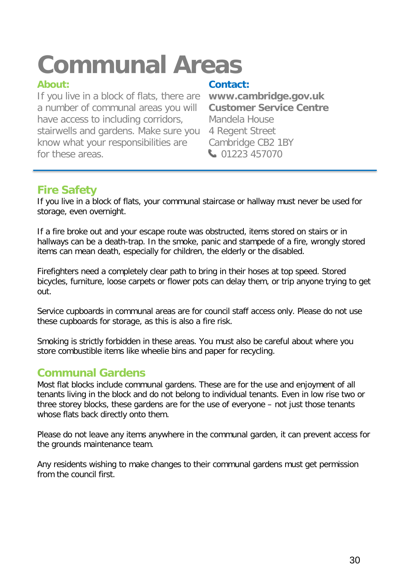# **Communal Areas**

If you live in a block of flats, there are **[www.cambridge.gov.uk](http://www.cambridge.gov.uk/)** a number of communal areas you will have access to including corridors, Mandela House stairwells and gardens. Make sure you 4 Regent Street know what your responsibilities are Cambridge CB2 1BY for these areas. **120 and 1223 457070** 

### **About: Contact:**

# **Fire Safety**

If you live in a block of flats, your communal staircase or hallway must never be used for storage, even overnight.

If a fire broke out and your escape route was obstructed, items stored on stairs or in hallways can be a death-trap. In the smoke, panic and stampede of a fire, wrongly stored items can mean death, especially for children, the elderly or the disabled.

Firefighters need a completely clear path to bring in their hoses at top speed. Stored bicycles, furniture, loose carpets or flower pots can delay them, or trip anyone trying to get out.

Service cupboards in communal areas are for council staff access only. Please do not use these cupboards for storage, as this is also a fire risk.

Smoking is strictly forbidden in these areas. You must also be careful about where you store combustible items like wheelie bins and paper for recycling.

## **Communal Gardens**

Most flat blocks include communal gardens. These are for the use and enjoyment of all tenants living in the block and do not belong to individual tenants. Even in low rise two or three storey blocks, these gardens are for the use of everyone – not just those tenants whose flats back directly onto them.

Please do not leave any items anywhere in the communal garden, it can prevent access for the grounds maintenance team.

Any residents wishing to make changes to their communal gardens must get permission from the council first.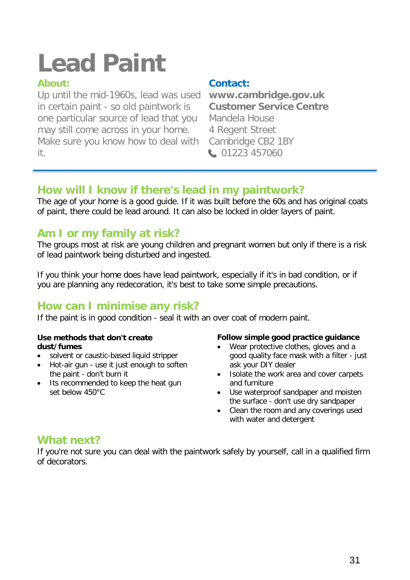# **Lead Paint**

Up until the mid-1960s, lead was used **[www.cambridge.gov.uk](http://www.cambridge.gov.uk/)** in certain paint - so old paintwork is one particular source of lead that you Mandela House may still come across in your home. 4 Regent Street Make sure you know how to deal with Cambridge CB2 1BY it. 01223 457060

### **About: Contact:**

# **How will I know if there's lead in my paintwork?**

The age of your home is a good guide. If it was built before the 60s and has original coats of paint, there could be lead around. It can also be locked in older layers of paint.

# **Am I or my family at risk?**

The groups most at risk are young children and pregnant women but only if there is a risk of lead paintwork being disturbed and ingested.

If you think your home does have lead paintwork, especially if it's in bad condition, or if you are planning any redecoration, it's best to take some simple precautions.

# **How can I minimise any risk?**

If the paint is in good condition - seal it with an over coat of modern paint.

#### **Use methods that don't create dust/fumes**

- solvent or caustic-based liquid stripper
- Hot-air gun use it just enough to soften the paint - don't burn it
- Its recommended to keep the heat gun set below 450°C

#### **Follow simple good practice guidance**

- Wear protective clothes, gloves and a good quality face mask with a filter - just ask your DIY dealer
- Isolate the work area and cover carpets and furniture
- Use waterproof sandpaper and moisten the surface - don't use dry sandpaper
- Clean the room and any coverings used with water and detergent

## **What next?**

If you're not sure you can deal with the paintwork safely by yourself, call in a qualified firm of decorators.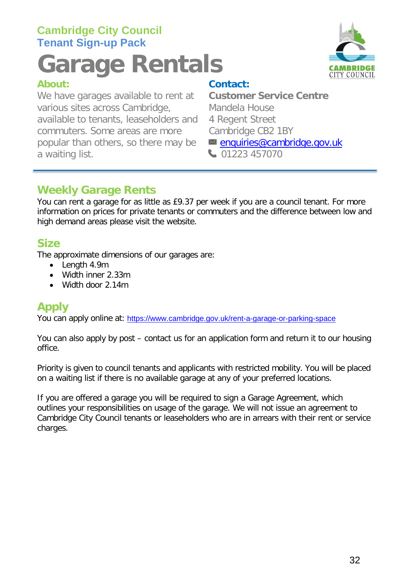# **Cambridge City Council Tenant Sign-up Pack**

# **Garage Rentals**

We have garages available to rent at **Customer Service Centre** various sites across Cambridge, Mandela House available to tenants, leaseholders and 4 Regent Street commuters. Some areas are more Cambridge CB2 1BY popular than others, so there may be  $\Box$  [enquiries@cambridge.gov.uk](mailto:enquiries@cambridge.gov.uk) a waiting list. 01223 457070



## **About: Contact:**

# **Weekly Garage Rents**

You can rent a garage for as little as £9.37 per week if you are a council tenant. For more information on prices for private tenants or commuters and the difference between low and high demand areas please visit the website.

# **Size**

The approximate dimensions of our garages are:

- Length 4.9m
- Width inner 2.33m
- Width door 2.14m

# **Apply**

You can apply online at: <https://www.cambridge.gov.uk/rent-a-garage-or-parking-space>

You can also apply by post – contact us for an application form and return it to our housing office.

Priority is given to council tenants and applicants with restricted mobility. You will be placed on a waiting list if there is no available garage at any of your preferred locations.

If you are offered a garage you will be required to sign a Garage Agreement, which outlines your responsibilities on usage of the garage. We will not issue an agreement to Cambridge City Council tenants or leaseholders who are in arrears with their rent or service charges.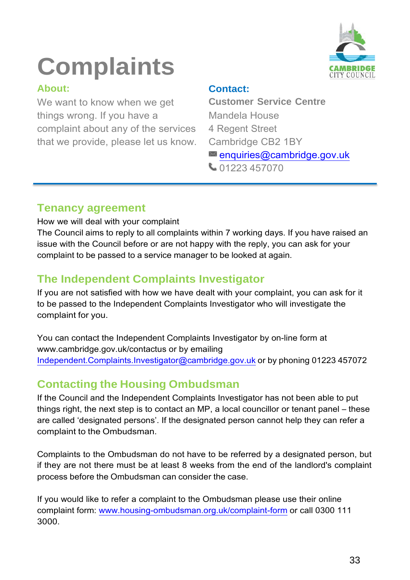# **Complaints**

### **About:**

We want to know when we get things wrong. If you have a complaint about any of the services that we provide, please let us know.

### **Contact:**

**Customer Service Centre** Mandela House 4 Regent Street Cambridge CB2 1BY [enquiries@cambridge.gov.uk](mailto:enquiries@cambridge.gov.uk)



## **Tenancy agreement**

How we will deal with your complaint

The Council aims to reply to all complaints within 7 working days. If you have raised an issue with the Council before or are not happy with the reply, you can ask for your complaint to be passed to a service manager to be looked at again.

# **The Independent Complaints Investigator**

If you are not satisfied with how we have dealt with your complaint, you can ask for it to be passed to the Independent Complaints Investigator who will investigate the complaint for you.

You can contact the Independent Complaints Investigator by on-line form at [www.cambridge.gov.uk/contactus o](http://www.cambridge.gov.uk/contactus)r by emailing [Independent.Complaints.Investigator@cambridge.gov.uk](mailto:Independent.Complaints.Investigator@cambridge.gov.uk) or by phoning 01223 457072

# **Contacting the Housing Ombudsman**

If the Council and the Independent Complaints Investigator has not been able to put things right, the next step is to contact an MP, a local councillor or tenant panel – these are called 'designated persons'. If the designated person cannot help they can refer a complaint to the Ombudsman.

Complaints to the Ombudsman do not have to be referred by a designated person, but if they are not there must be at least 8 weeks from the end of the landlord's complaint process before the Ombudsman can consider the case.

If you would like to refer a complaint to the Ombudsman please use their online complaint form: [www.housing-ombudsman.org.uk/complaint-form](http://www.housing-ombudsman.org.uk/complaint-form) or call 0300 111 3000.

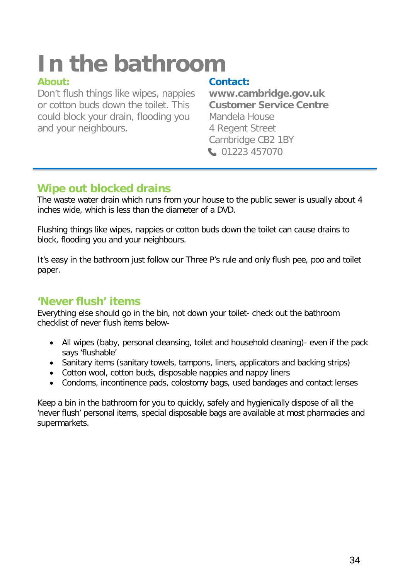# **In the bathroom**

Don't flush things like wipes, nappies **[www.cambridge.gov.uk](http://www.cambridge.gov.uk/) or cotton buds down the toilet. This** could block your drain, flooding you Mandela House and your neighbours. 4 Regent Street

### **About: Contact:**

Cambridge CB2 1BY 01223 457070

# **Wipe out blocked drains**

The waste water drain which runs from your house to the public sewer is usually about 4 inches wide, which is less than the diameter of a DVD.

Flushing things like wipes, nappies or cotton buds down the toilet can cause drains to block, flooding you and your neighbours.

It's easy in the bathroom just follow our Three P's rule and only flush pee, poo and toilet paper.

## **'Never flush' items**

Everything else should go in the bin, not down your toilet- check out the bathroom checklist of never flush items below-

- All wipes (baby, personal cleansing, toilet and household cleaning)- even if the pack says 'flushable'
- Sanitary items (sanitary towels, tampons, liners, applicators and backing strips)
- Cotton wool, cotton buds, disposable nappies and nappy liners
- Condoms, incontinence pads, colostomy bags, used bandages and contact lenses

Keep a bin in the bathroom for you to quickly, safely and hygienically dispose of all the 'never flush' personal items, special disposable bags are available at most pharmacies and supermarkets.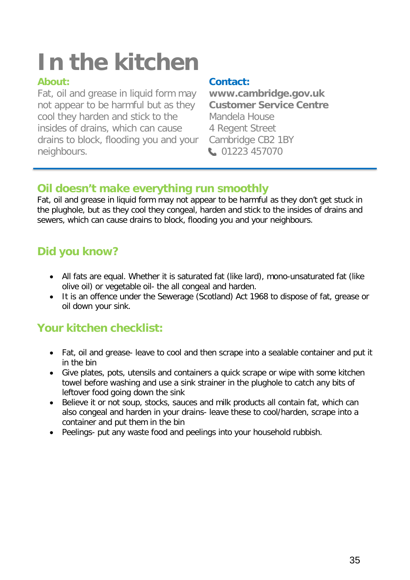# **In the kitchen**

Fat, oil and grease in liquid form may **[www.cambridge.gov.uk](http://www.cambridge.gov.uk/)** not appear to be harmful but as they **Customer Service Centre** cool they harden and stick to the Mandela House insides of drains, which can cause 4 Regent Street drains to block, flooding you and your Cambridge CB2 1BY neighbours. 101223 457070

### **About: Contact:**

## **Oil doesn't make everything run smoothly**

Fat, oil and grease in liquid form may not appear to be harmful as they don't get stuck in the plughole, but as they cool they congeal, harden and stick to the insides of drains and sewers, which can cause drains to block, flooding you and your neighbours.

# **Did you know?**

- All fats are equal. Whether it is saturated fat (like lard), mono-unsaturated fat (like olive oil) or vegetable oil- the all congeal and harden.
- It is an offence under the Sewerage (Scotland) Act 1968 to dispose of fat, grease or oil down your sink.

# **Your kitchen checklist:**

- Fat, oil and grease- leave to cool and then scrape into a sealable container and put it in the bin
- Give plates, pots, utensils and containers a quick scrape or wipe with some kitchen towel before washing and use a sink strainer in the plughole to catch any bits of leftover food going down the sink
- Believe it or not soup, stocks, sauces and milk products all contain fat, which can also congeal and harden in your drains- leave these to cool/harden, scrape into a container and put them in the bin
- Peelings- put any waste food and peelings into your household rubbish.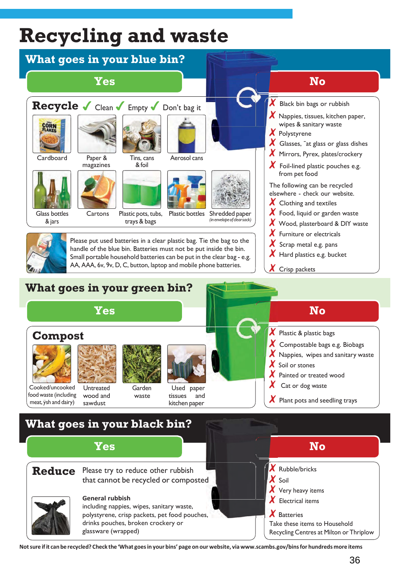# **Recycling and waste**



Not sure if it can be recycled? Check the 'What goes in your bins' page on our website, via www.scambs.gov/bins for hundreds more items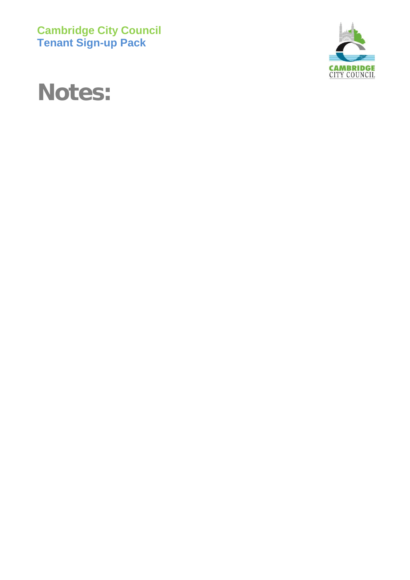**Cambridge City Council Tenant Sign-up Pack**



# **Notes:**